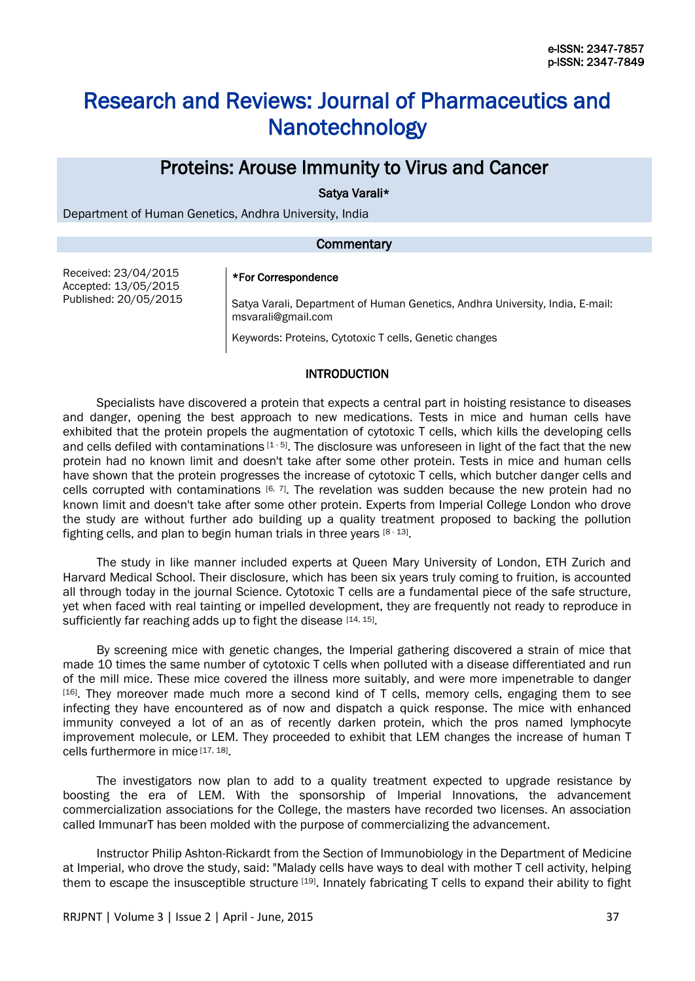# Research and Reviews: Journal of Pharmaceutics and Nanotechnology

## Proteins: Arouse Immunity to Virus and Cancer

Satya Varali\*

Department of Human Genetics, Andhra University, India

#### **Commentary**

Received: 23/04/2015 Accepted: 13/05/2015 Published: 20/05/2015

#### \*For Correspondence

Satya Varali, Department of Human Genetics, Andhra University, India, E-mail: msvarali@gmail.com

Keywords: Proteins, Cytotoxic T cells, Genetic changes

#### INTRODUCTION

Specialists have discovered a protein that expects a central part in hoisting resistance to diseases and danger, opening the best approach to new medications. Tests in mice and human cells have exhibited that the protein propels the augmentation of cytotoxic T cells, which kills the developing cells and cells defiled with contaminations  $[1 - 5]$ . The disclosure was unforeseen in light of the fact that the new protein had no known limit and doesn't take after some other protein. Tests in mice and human cells have shown that the protein progresses the increase of cytotoxic T cells, which butcher danger cells and cells corrupted with contaminations  $[6, 7]$ . The revelation was sudden because the new protein had no known limit and doesn't take after some other protein. Experts from Imperial College London who drove the study are without further ado building up a quality treatment proposed to backing the pollution fighting cells, and plan to begin human trials in three years [8-13].

The study in like manner included experts at Queen Mary University of London, ETH Zurich and Harvard Medical School. Their disclosure, which has been six years truly coming to fruition, is accounted all through today in the journal Science. Cytotoxic T cells are a fundamental piece of the safe structure, yet when faced with real tainting or impelled development, they are frequently not ready to reproduce in sufficiently far reaching adds up to fight the disease [14, 15].

By screening mice with genetic changes, the Imperial gathering discovered a strain of mice that made 10 times the same number of cytotoxic T cells when polluted with a disease differentiated and run of the mill mice. These mice covered the illness more suitably, and were more impenetrable to danger [16]. They moreover made much more a second kind of T cells, memory cells, engaging them to see infecting they have encountered as of now and dispatch a quick response. The mice with enhanced immunity conveyed a lot of an as of recently darken protein, which the pros named lymphocyte improvement molecule, or LEM. They proceeded to exhibit that LEM changes the increase of human T cells furthermore in mice [17, 18].

The investigators now plan to add to a quality treatment expected to upgrade resistance by boosting the era of LEM. With the sponsorship of Imperial Innovations, the advancement commercialization associations for the College, the masters have recorded two licenses. An association called ImmunarT has been molded with the purpose of commercializing the advancement.

Instructor Philip Ashton-Rickardt from the Section of Immunobiology in the Department of Medicine at Imperial, who drove the study, said: "Malady cells have ways to deal with mother T cell activity, helping them to escape the insusceptible structure [19]. Innately fabricating T cells to expand their ability to fight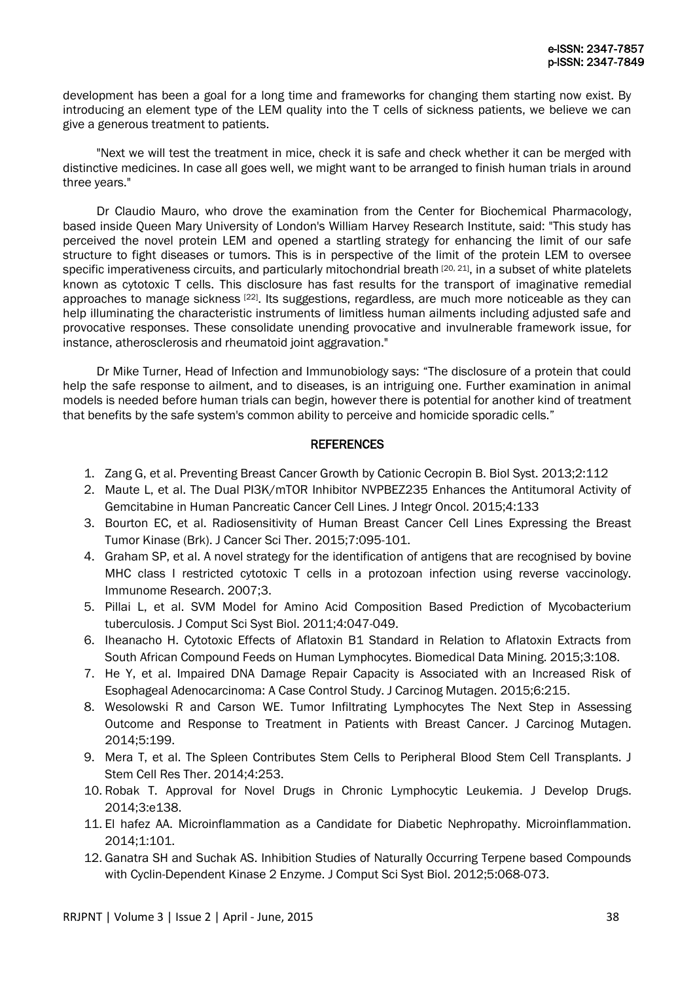development has been a goal for a long time and frameworks for changing them starting now exist. By introducing an element type of the LEM quality into the T cells of sickness patients, we believe we can give a generous treatment to patients.

"Next we will test the treatment in mice, check it is safe and check whether it can be merged with distinctive medicines. In case all goes well, we might want to be arranged to finish human trials in around three years."

Dr Claudio Mauro, who drove the examination from the Center for Biochemical Pharmacology, based inside Queen Mary University of London's William Harvey Research Institute, said: "This study has perceived the novel protein LEM and opened a startling strategy for enhancing the limit of our safe structure to fight diseases or tumors. This is in perspective of the limit of the protein LEM to oversee specific imperativeness circuits, and particularly mitochondrial breath [20, 21], in a subset of white platelets known as cytotoxic T cells. This disclosure has fast results for the transport of imaginative remedial approaches to manage sickness [22]. Its suggestions, regardless, are much more noticeable as they can help illuminating the characteristic instruments of limitless human ailments including adjusted safe and provocative responses. These consolidate unending provocative and invulnerable framework issue, for instance, atherosclerosis and rheumatoid joint aggravation."

Dr Mike Turner, Head of Infection and Immunobiology says: "The disclosure of a protein that could help the safe response to ailment, and to diseases, is an intriguing one. Further examination in animal models is needed before human trials can begin, however there is potential for another kind of treatment that benefits by the safe system's common ability to perceive and homicide sporadic cells."

### **REFERENCES**

- 1. Zang G, et al. Preventing Breast Cancer Growth by Cationic Cecropin B. Biol Syst. 2013;2:112
- 2. Maute L, et al. The Dual PI3K/mTOR Inhibitor NVPBEZ235 Enhances the Antitumoral Activity of Gemcitabine in Human Pancreatic Cancer Cell Lines. J Integr Oncol. 2015;4:133
- 3. Bourton EC, et al. Radiosensitivity of Human Breast Cancer Cell Lines Expressing the Breast Tumor Kinase (Brk). J Cancer Sci Ther. 2015;7:095-101.
- 4. Graham SP, et al. A novel strategy for the identification of antigens that are recognised by bovine MHC class I restricted cytotoxic T cells in a protozoan infection using reverse vaccinology. Immunome Research. 2007;3.
- 5. Pillai L, et al. SVM Model for Amino Acid Composition Based Prediction of Mycobacterium tuberculosis. J Comput Sci Syst Biol. 2011;4:047-049.
- 6. Iheanacho H. Cytotoxic Effects of Aflatoxin B1 Standard in Relation to Aflatoxin Extracts from South African Compound Feeds on Human Lymphocytes. Biomedical Data Mining. 2015;3:108.
- 7. He Y, et al. Impaired DNA Damage Repair Capacity is Associated with an Increased Risk of Esophageal Adenocarcinoma: A Case Control Study. J Carcinog Mutagen. 2015;6:215.
- 8. Wesolowski R and Carson WE. Tumor Infiltrating Lymphocytes The Next Step in Assessing Outcome and Response to Treatment in Patients with Breast Cancer. J Carcinog Mutagen. 2014;5:199.
- 9. Mera T, et al. The Spleen Contributes Stem Cells to Peripheral Blood Stem Cell Transplants. J Stem Cell Res Ther. 2014;4:253.
- 10. Robak T. Approval for Novel Drugs in Chronic Lymphocytic Leukemia. J Develop Drugs. 2014;3:e138.
- 11. El hafez AA. Microinflammation as a Candidate for Diabetic Nephropathy. Microinflammation. 2014;1:101.
- 12. Ganatra SH and Suchak AS. Inhibition Studies of Naturally Occurring Terpene based Compounds with Cyclin-Dependent Kinase 2 Enzyme. J Comput Sci Syst Biol. 2012;5:068-073.